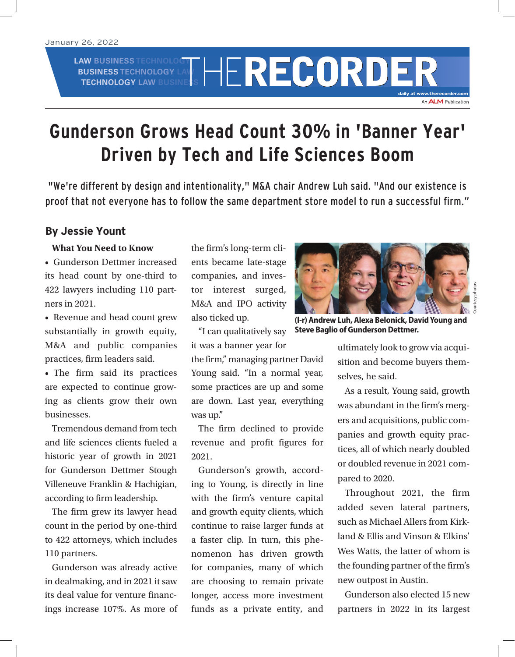# **LAW BUSINESS TECHNOLOGY BUSINESS TECHNOLOGY LAW AW BUSINESS TECHNOLOGY LAW RECORDER**

**daily at www.therecorder.com**

An **ALM** Publication

# **Gunderson Grows Head Count 30% in 'Banner Year' Driven by Tech and Life Sciences Boom**

"We're different by design and intentionality," M&A chair Andrew Luh said. "And our existence is proof that not everyone has to follow the same department store model to run a successful firm."

## **By Jessie Yount**

#### **What You Need to Know**

• Gunderson Dettmer increased its head count by one-third to 422 lawyers including 110 partners in 2021.

• Revenue and head count grew substantially in growth equity, M&A and public companies practices, firm leaders said.

• The firm said its practices are expected to continue growing as clients grow their own businesses.

Tremendous demand from tech and life sciences clients fueled a historic year of growth in 2021 for Gunderson Dettmer Stough Villeneuve Franklin & Hachigian, according to firm leadership.

The firm grew its lawyer head count in the period by one-third to 422 attorneys, which includes 110 partners.

Gunderson was already active in dealmaking, and in 2021 it saw its deal value for venture financings increase 107%. As more of

the firm's long-term clients became late-stage companies, and investor interest surged, M&A and IPO activity also ticked up.

"I can qualitatively say

it was a banner year for the firm," managing partner David Young said. "In a normal year, some practices are up and some are down. Last year, everything was up."

The firm declined to provide revenue and profit figures for 2021.

Gunderson's growth, according to Young, is directly in line with the firm's venture capital and growth equity clients, which continue to raise larger funds at a faster clip. In turn, this phenomenon has driven growth for companies, many of which are choosing to remain private longer, access more investment funds as a private entity, and



**(l-r) Andrew Luh, Alexa Belonick, David Young and Steve Baglio of Gunderson Dettmer.** 

Courtesy photos

ultimately look to grow via acquisition and become buyers themselves, he said.

As a result, Young said, growth was abundant in the firm's mergers and acquisitions, public companies and growth equity practices, all of which nearly doubled or doubled revenue in 2021 compared to 2020.

Throughout 2021, the firm added seven lateral partners, such as Michael Allers from Kirkland & Ellis and Vinson & Elkins' Wes Watts, the latter of whom is the founding partner of the firm's new outpost in Austin.

Gunderson also elected 15 new partners in 2022 in its largest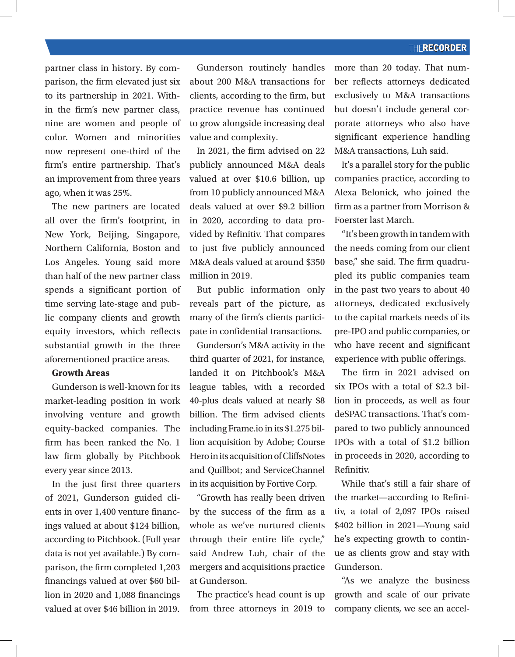#### **THERECORDER**

partner class in history. By comparison, the firm elevated just six to its partnership in 2021. Within the firm's new partner class, nine are women and people of color. Women and minorities now represent one-third of the firm's entire partnership. That's an improvement from three years ago, when it was 25%.

The new partners are located all over the firm's footprint, in New York, Beijing, Singapore, Northern California, Boston and Los Angeles. Young said more than half of the new partner class spends a significant portion of time serving late-stage and public company clients and growth equity investors, which reflects substantial growth in the three aforementioned practice areas.

#### **Growth Areas**

Gunderson is well-known for its market-leading position in work involving venture and growth equity-backed companies. The firm has been ranked the No. 1 law firm globally by Pitchbook every year since 2013.

In the just first three quarters of 2021, Gunderson guided clients in over 1,400 venture financings valued at about \$124 billion, according to Pitchbook. (Full year data is not yet available.) By comparison, the firm completed 1,203 financings valued at over \$60 billion in 2020 and 1,088 financings valued at over \$46 billion in 2019.

Gunderson routinely handles about 200 M&A transactions for clients, according to the firm, but practice revenue has continued to grow alongside increasing deal value and complexity.

In 2021, the firm advised on 22 publicly announced M&A deals valued at over \$10.6 billion, up from 10 publicly announced M&A deals valued at over \$9.2 billion in 2020, according to data provided by Refinitiv. That compares to just five publicly announced M&A deals valued at around \$350 million in 2019.

But public information only reveals part of the picture, as many of the firm's clients participate in confidential transactions.

Gunderson's M&A activity in the third quarter of 2021, for instance, landed it on Pitchbook's M&A league tables, with a recorded 40-plus deals valued at nearly \$8 billion. The firm advised clients including Frame.io in its \$1.275 billion acquisition by Adobe; Course Hero in its acquisition of CliffsNotes and Quillbot; and ServiceChannel in its acquisition by Fortive Corp.

"Growth has really been driven by the success of the firm as a whole as we've nurtured clients through their entire life cycle," said Andrew Luh, chair of the mergers and acquisitions practice at Gunderson.

The practice's head count is up from three attorneys in 2019 to more than 20 today. That number reflects attorneys dedicated exclusively to M&A transactions but doesn't include general corporate attorneys who also have significant experience handling M&A transactions, Luh said.

It's a parallel story for the public companies practice, according to Alexa Belonick, who joined the firm as a partner from Morrison & Foerster last March.

"It's been growth in tandem with the needs coming from our client base," she said. The firm quadrupled its public companies team in the past two years to about 40 attorneys, dedicated exclusively to the capital markets needs of its pre-IPO and public companies, or who have recent and significant experience with public offerings.

The firm in 2021 advised on six IPOs with a total of \$2.3 billion in proceeds, as well as four deSPAC transactions. That's compared to two publicly announced IPOs with a total of \$1.2 billion in proceeds in 2020, according to Refinitiv.

While that's still a fair share of the market—according to Refinitiv, a total of 2,097 IPOs raised \$402 billion in 2021—Young said he's expecting growth to continue as clients grow and stay with Gunderson.

"As we analyze the business growth and scale of our private company clients, we see an accel